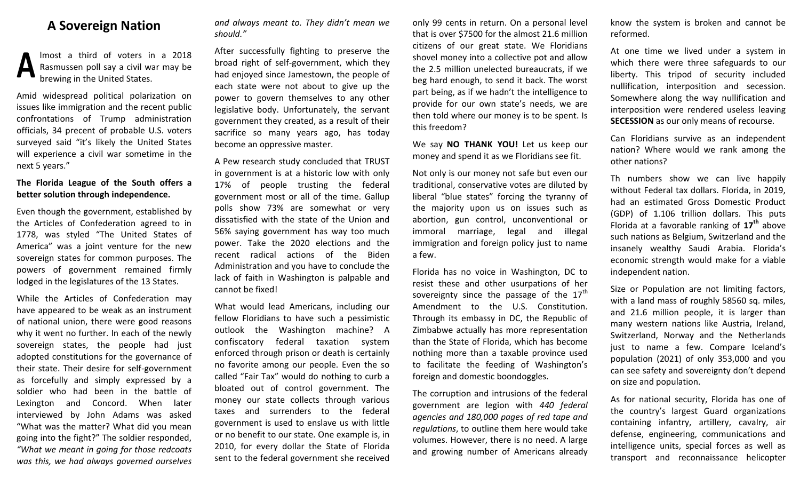## **A Sovereign Nation**

lmost a third of voters in a 2018 Rasmussen poll say a civil war may be brewing in the United States. **A**

Amid widespread political polarization on issues like immigration and the recent public confrontations of Trump administration officials, 34 precent of probable U.S. voters surveyed said "it's likely the United States will experience a civil war sometime in the next 5 years."

## **The Florida League of the South offers a better solution through independence.**

Even though the government, established by the Articles of Confederation agreed to in 1778, was styled "The United States of America" was a joint venture for the new sovereign states for common purposes. The powers of government remained firmly lodged in the legislatures of the 13 States.

While the Articles of Confederation may have appeared to be weak as an instrument of national union, there were good reasons why it went no further. In each of the newly sovereign states, the people had just adopted constitutions for the governance of their state. Their desire for self-government as forcefully and simply expressed by a soldier who had been in the battle of Lexington and Concord. When later interviewed by John Adams was asked "What was the matter? What did you mean going into the fight?" The soldier responded, *"What we meant in going for those redcoats was this, we had always governed ourselves*  *and always meant to. They didn't mean we should."*

After successfully fighting to preserve the broad right of self-government, which they had enjoyed since Jamestown, the people of each state were not about to give up the power to govern themselves to any other legislative body. Unfortunately, the servant government they created, as a result of their sacrifice so many years ago, has today become an oppressive master.

A Pew research study concluded that TRUST in government is at a historic low with only 17% of people trusting the federal government most or all of the time. Gallup polls show 73% are somewhat or very dissatisfied with the state of the Union and 56% saying government has way too much power. Take the 2020 elections and the recent radical actions of the Biden Administration and you have to conclude the lack of faith in Washington is palpable and cannot be fixed!

What would lead Americans, including our fellow Floridians to have such a pessimistic outlook the Washington machine? A confiscatory federal taxation system enforced through prison or death is certainly no favorite among our people. Even the so called "Fair Tax" would do nothing to curb a bloated out of control government. The money our state collects through various taxes and surrenders to the federal government is used to enslave us with little or no benefit to our state. One example is, in 2010, for every dollar the State of Florida sent to the federal government she received

only 99 cents in return. On a personal level that is over \$7500 for the almost 21.6 million citizens of our great state. We Floridians shovel money into a collective pot and allow the 2.5 million unelected bureaucrats, if we beg hard enough, to send it back. The worst part being, as if we hadn't the intelligence to provide for our own state's needs, we are then told where our money is to be spent. Is this freedom?

We say **NO THANK YOU!** Let us keep our money and spend it as we Floridians see fit.

Not only is our money not safe but even our traditional, conservative votes are diluted by liberal "blue states" forcing the tyranny of the majority upon us on issues such as abortion, gun control, unconventional or immoral marriage, legal and illegal immigration and foreign policy just to name a few.

Florida has no voice in Washington, DC to resist these and other usurpations of her sovereignty since the passage of the  $17<sup>th</sup>$ Amendment to the U.S. Constitution. Through its embassy in DC, the Republic of Zimbabwe actually has more representation than the State of Florida, which has become nothing more than a taxable province used to facilitate the feeding of Washington's foreign and domestic boondoggles.

The corruption and intrusions of the federal government are legion with *440 federal agencies and 180,000 pages of red tape and regulations*, to outline them here would take volumes. However, there is no need. A large and growing number of Americans already know the system is broken and cannot be reformed.

At one time we lived under a system in which there were three safeguards to our liberty. This tripod of security included nullification, interposition and secession. Somewhere along the way nullification and interposition were rendered useless leaving **SECESSION** as our only means of recourse.

Can Floridians survive as an independent nation? Where would we rank among the other nations?

Th numbers show we can live happily without Federal tax dollars. Florida, in 2019, had an estimated Gross Domestic Product (GDP) of 1.106 trillion dollars. This puts Florida at a favorable ranking of **17th** above such nations as Belgium, Switzerland and the insanely wealthy Saudi Arabia. Florida's economic strength would make for a viable independent nation.

Size or Population are not limiting factors, with a land mass of roughly 58560 sq. miles, and 21.6 million people, it is larger than many western nations like Austria, Ireland, Switzerland, Norway and the Netherlands just to name a few. Compare Iceland's population (2021) of only 353,000 and you can see safety and sovereignty don't depend on size and population.

As for national security, Florida has one of the country's largest Guard organizations containing infantry, artillery, cavalry, air defense, engineering, communications and intelligence units, special forces as well as transport and reconnaissance helicopter